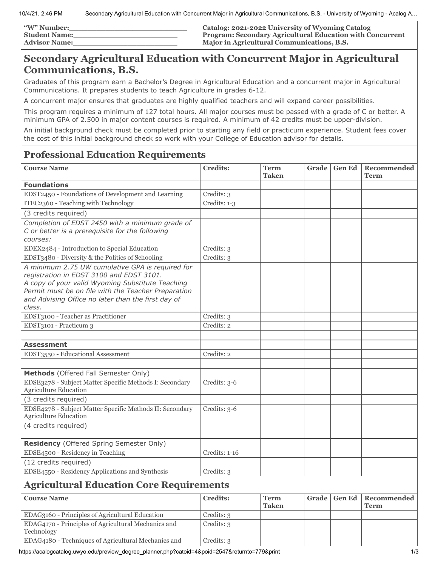| <b>W"</b> Number: | Catalog: 2021-2022 University of Wyoming Catalog                 |
|-------------------|------------------------------------------------------------------|
| Student Name:     | <b>Program: Secondary Agricultural Education with Concurrent</b> |
| Advisor Name:     | <b>Major in Agricultural Communications, B.S.</b>                |

## **Secondary Agricultural Education with Concurrent Major in Agricultural Communications, B.S.**

Graduates of this program earn a Bachelor's Degree in Agricultural Education and a concurrent major in Agricultural Communications. It prepares students to teach Agriculture in grades 6-12.

A concurrent major ensures that graduates are highly qualified teachers and will expand career possibilities.

This program requires a minimum of 127 total hours. All major courses must be passed with a grade of C or better. A minimum GPA of 2.500 in major content courses is required. A minimum of 42 credits must be upper-division.

An initial background check must be completed prior to starting any field or practicum experience. Student fees cover the cost of this initial background check so work with your College of Education advisor for details.

## **Professional Education Requirements**

| <b>Course Name</b>                                                                                      | <b>Credits:</b> | <b>Term</b><br><b>Taken</b> | Grade |               | <b>Gen Ed</b> Recommended<br><b>Term</b> |
|---------------------------------------------------------------------------------------------------------|-----------------|-----------------------------|-------|---------------|------------------------------------------|
| <b>Foundations</b>                                                                                      |                 |                             |       |               |                                          |
| EDST2450 - Foundations of Development and Learning                                                      | Credits: 3      |                             |       |               |                                          |
| ITEC2360 - Teaching with Technology                                                                     | Credits: 1-3    |                             |       |               |                                          |
| (3 credits required)                                                                                    |                 |                             |       |               |                                          |
| Completion of EDST 2450 with a minimum grade of                                                         |                 |                             |       |               |                                          |
| C or better is a prerequisite for the following                                                         |                 |                             |       |               |                                          |
| courses:                                                                                                |                 |                             |       |               |                                          |
| EDEX2484 - Introduction to Special Education                                                            | Credits: 3      |                             |       |               |                                          |
| EDST3480 - Diversity & the Politics of Schooling                                                        | Credits: 3      |                             |       |               |                                          |
| A minimum 2.75 UW cumulative GPA is required for                                                        |                 |                             |       |               |                                          |
| registration in EDST 3100 and EDST 3101.                                                                |                 |                             |       |               |                                          |
| A copy of your valid Wyoming Substitute Teaching<br>Permit must be on file with the Teacher Preparation |                 |                             |       |               |                                          |
| and Advising Office no later than the first day of                                                      |                 |                             |       |               |                                          |
| class.                                                                                                  |                 |                             |       |               |                                          |
| EDST3100 - Teacher as Practitioner                                                                      | Credits: 3      |                             |       |               |                                          |
| EDST3101 - Practicum 3                                                                                  | Credits: 2      |                             |       |               |                                          |
|                                                                                                         |                 |                             |       |               |                                          |
| <b>Assessment</b>                                                                                       |                 |                             |       |               |                                          |
| EDST3550 - Educational Assessment                                                                       | Credits: 2      |                             |       |               |                                          |
|                                                                                                         |                 |                             |       |               |                                          |
| Methods (Offered Fall Semester Only)                                                                    |                 |                             |       |               |                                          |
| EDSE3278 - Subject Matter Specific Methods I: Secondary<br><b>Agriculture Education</b>                 | Credits: 3-6    |                             |       |               |                                          |
| (3 credits required)                                                                                    |                 |                             |       |               |                                          |
| EDSE4278 - Subject Matter Specific Methods II: Secondary<br><b>Agriculture Education</b>                | Credits: 3-6    |                             |       |               |                                          |
| (4 credits required)                                                                                    |                 |                             |       |               |                                          |
| <b>Residency</b> (Offered Spring Semester Only)                                                         |                 |                             |       |               |                                          |
| EDSE4500 - Residency in Teaching                                                                        | Credits: 1-16   |                             |       |               |                                          |
| (12 credits required)                                                                                   |                 |                             |       |               |                                          |
| EDSE4550 - Residency Applications and Synthesis                                                         | Credits: 3      |                             |       |               |                                          |
| <b>Agricultural Education Core Requirements</b>                                                         |                 |                             |       |               |                                          |
| <b>Course Name</b>                                                                                      | <b>Credits:</b> | <b>Term</b><br><b>Taken</b> | Grade | <b>Gen Ed</b> | Recommended<br><b>Term</b>               |
| EDAG3160 - Principles of Agricultural Education                                                         | Credits: 3      |                             |       |               |                                          |
| EDAG4170 - Principles of Agricultural Mechanics and<br>Technology                                       | Credits: 3      |                             |       |               |                                          |
| EDAG4180 - Techniques of Agricultural Mechanics and                                                     | Credits: 3      |                             |       |               |                                          |

https://acalogcatalog.uwyo.edu/preview\_degree\_planner.php?catoid=4&poid=2547&returnto=779&print 1/3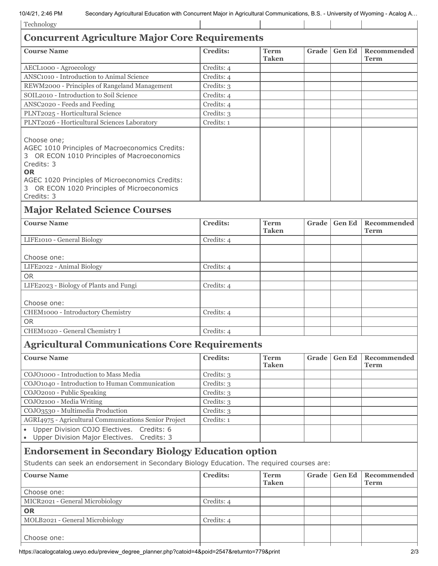| 10/4/21, 2:46 PM<br>Secondary Agricultural Education with Concurrent Major in Agricultural Communications, B.S. - University of Wyoming - Acalog A<br>Technology                                                                                         |                 |                             |       |               |                            |
|----------------------------------------------------------------------------------------------------------------------------------------------------------------------------------------------------------------------------------------------------------|-----------------|-----------------------------|-------|---------------|----------------------------|
|                                                                                                                                                                                                                                                          |                 |                             |       |               |                            |
| <b>Concurrent Agriculture Major Core Requirements</b>                                                                                                                                                                                                    |                 |                             |       |               |                            |
| <b>Course Name</b>                                                                                                                                                                                                                                       | <b>Credits:</b> | <b>Term</b><br><b>Taken</b> | Grade | <b>Gen Ed</b> | Recommended<br><b>Term</b> |
| AECL1000 - Agroecology                                                                                                                                                                                                                                   | Credits: 4      |                             |       |               |                            |
| ANSC1010 - Introduction to Animal Science                                                                                                                                                                                                                | Credits: 4      |                             |       |               |                            |
| REWM2000 - Principles of Rangeland Management                                                                                                                                                                                                            | Credits: 3      |                             |       |               |                            |
| SOIL2010 - Introduction to Soil Science                                                                                                                                                                                                                  | Credits: 4      |                             |       |               |                            |
| ANSC2020 - Feeds and Feeding                                                                                                                                                                                                                             | Credits: 4      |                             |       |               |                            |
| PLNT2025 - Horticultural Science                                                                                                                                                                                                                         | Credits: 3      |                             |       |               |                            |
| PLNT2026 - Horticultural Sciences Laboratory                                                                                                                                                                                                             | Credits: 1      |                             |       |               |                            |
| Choose one;<br>AGEC 1010 Principles of Macroeconomics Credits:<br>3 OR ECON 1010 Principles of Macroeconomics<br>Credits: 3<br><b>OR</b><br>AGEC 1020 Principles of Microeconomics Credits:<br>3 OR ECON 1020 Principles of Microeconomics<br>Credits: 3 |                 |                             |       |               |                            |
| <b>Major Related Science Courses</b>                                                                                                                                                                                                                     |                 |                             |       |               |                            |
| <b>Course Name</b>                                                                                                                                                                                                                                       | <b>Credits:</b> | <b>Term</b><br><b>Taken</b> | Grade | <b>Gen Ed</b> | Recommended<br><b>Term</b> |
| LIFE1010 - General Biology                                                                                                                                                                                                                               | Credits: 4      |                             |       |               |                            |
| Choose one:                                                                                                                                                                                                                                              |                 |                             |       |               |                            |
| LIFE2022 - Animal Biology                                                                                                                                                                                                                                | Credits: 4      |                             |       |               |                            |
| <b>OR</b>                                                                                                                                                                                                                                                |                 |                             |       |               |                            |
|                                                                                                                                                                                                                                                          |                 |                             |       |               |                            |
| LIFE2023 - Biology of Plants and Fungi                                                                                                                                                                                                                   | Credits: 4      |                             |       |               |                            |
| Choose one:                                                                                                                                                                                                                                              |                 |                             |       |               |                            |
| CHEM1000 - Introductory Chemistry                                                                                                                                                                                                                        | Credits: 4      |                             |       |               |                            |
| <b>OR</b>                                                                                                                                                                                                                                                |                 |                             |       |               |                            |
| CHEM1020 - General Chemistry I                                                                                                                                                                                                                           | Credits: 4      |                             |       |               |                            |
|                                                                                                                                                                                                                                                          |                 |                             |       |               |                            |
| <b>Agricultural Communications Core Requirements</b>                                                                                                                                                                                                     |                 |                             |       |               |                            |
| <b>Course Name</b>                                                                                                                                                                                                                                       | <b>Credits:</b> | <b>Term</b><br><b>Taken</b> | Grade | <b>Gen Ed</b> | Recommended<br><b>Term</b> |
| COJO1000 - Introduction to Mass Media                                                                                                                                                                                                                    | Credits: 3      |                             |       |               |                            |
| COJO1040 - Introduction to Human Communication                                                                                                                                                                                                           | Credits: 3      |                             |       |               |                            |
| COJO2010 - Public Speaking                                                                                                                                                                                                                               | Credits: 3      |                             |       |               |                            |
| COJO2100 - Media Writing                                                                                                                                                                                                                                 | Credits: 3      |                             |       |               |                            |
| COJO3530 - Multimedia Production                                                                                                                                                                                                                         | Credits: 3      |                             |       |               |                            |
| AGRI4975 - Agricultural Communications Senior Project                                                                                                                                                                                                    | Credits: 1      |                             |       |               |                            |
| Upper Division COJO Electives.<br>Credits: 6<br>Upper Division Major Electives.<br>Credits: 3                                                                                                                                                            |                 |                             |       |               |                            |
| <b>Endorsement in Secondary Biology Education option</b>                                                                                                                                                                                                 |                 |                             |       |               |                            |
| Students can seek an endorsement in Secondary Biology Education. The required courses are:                                                                                                                                                               |                 |                             |       |               |                            |
| <b>Course Name</b>                                                                                                                                                                                                                                       | <b>Credits:</b> | <b>Term</b>                 | Grade | <b>Gen Ed</b> | Recommended                |
|                                                                                                                                                                                                                                                          |                 | <b>Taken</b>                |       |               | <b>Term</b>                |
| Choose one:                                                                                                                                                                                                                                              |                 |                             |       |               |                            |
| MICR2021 - General Microbiology                                                                                                                                                                                                                          | Credits: 4      |                             |       |               |                            |
| <b>OR</b>                                                                                                                                                                                                                                                |                 |                             |       |               |                            |
| MOLB2021 - General Microbiology                                                                                                                                                                                                                          | Credits: 4      |                             |       |               |                            |
| Choose one:                                                                                                                                                                                                                                              |                 |                             |       |               |                            |
|                                                                                                                                                                                                                                                          |                 |                             |       |               |                            |